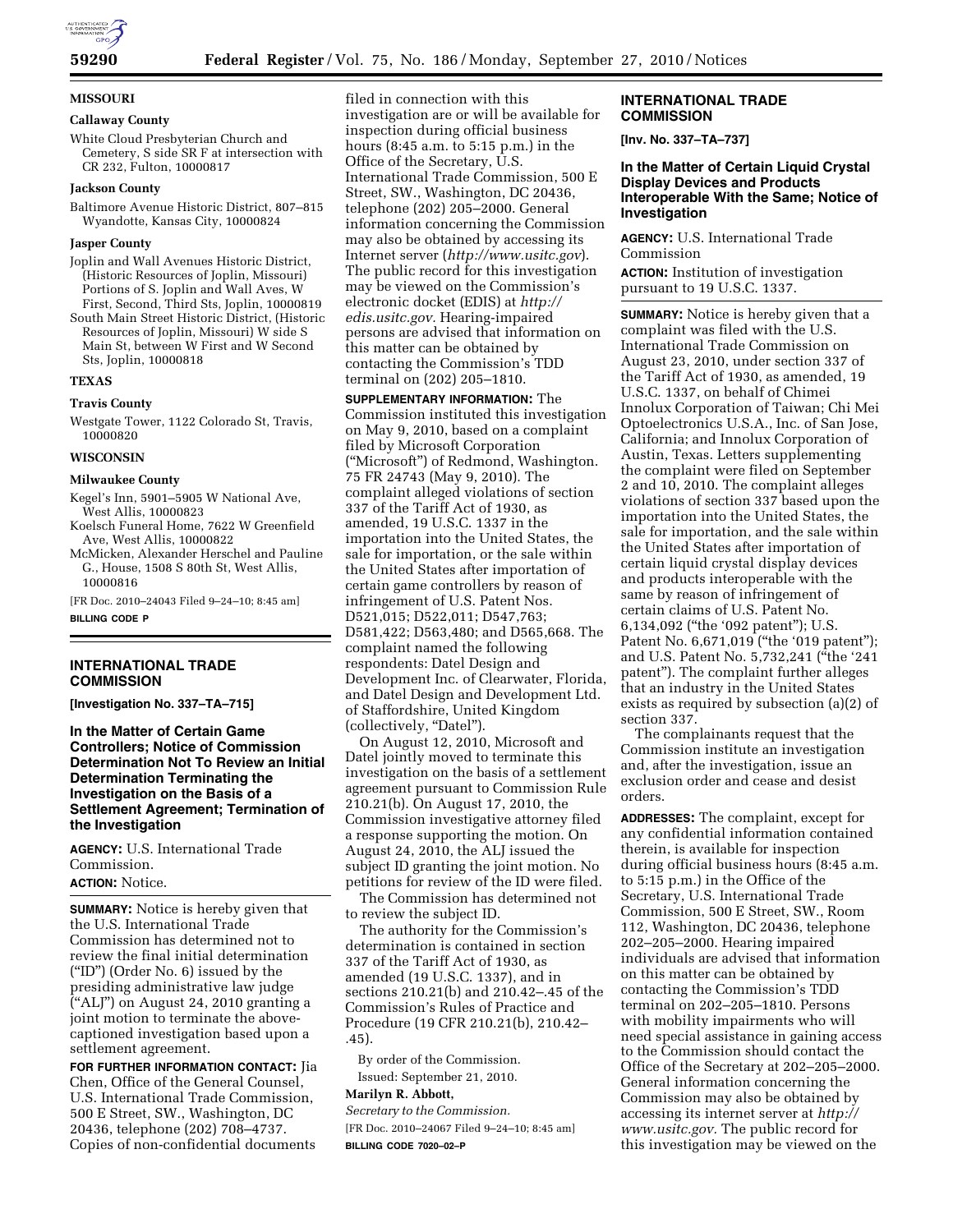

**MISSOURI** 

# **Callaway County**

White Cloud Presbyterian Church and Cemetery, S side SR F at intersection with CR 232, Fulton, 10000817

#### **Jackson County**

Baltimore Avenue Historic District, 807–815 Wyandotte, Kansas City, 10000824

### **Jasper County**

Joplin and Wall Avenues Historic District, (Historic Resources of Joplin, Missouri) Portions of S. Joplin and Wall Aves, W First, Second, Third Sts, Joplin, 10000819

South Main Street Historic District, (Historic Resources of Joplin, Missouri) W side S Main St, between W First and W Second Sts, Joplin, 10000818

# **TEXAS**

#### **Travis County**

Westgate Tower, 1122 Colorado St, Travis, 10000820

#### **WISCONSIN**

#### **Milwaukee County**

Kegel's Inn, 5901–5905 W National Ave, West Allis, 10000823

Koelsch Funeral Home, 7622 W Greenfield Ave, West Allis, 10000822

McMicken, Alexander Herschel and Pauline G., House, 1508 S 80th St, West Allis, 10000816

[FR Doc. 2010–24043 Filed 9–24–10; 8:45 am] **BILLING CODE P** 

# **INTERNATIONAL TRADE COMMISSION**

**[Investigation No. 337–TA–715]** 

**In the Matter of Certain Game Controllers; Notice of Commission Determination Not To Review an Initial Determination Terminating the Investigation on the Basis of a Settlement Agreement; Termination of the Investigation** 

**AGENCY:** U.S. International Trade Commission.

# **ACTION:** Notice.

**SUMMARY:** Notice is hereby given that the U.S. International Trade Commission has determined not to review the final initial determination (''ID'') (Order No. 6) issued by the presiding administrative law judge (''ALJ'') on August 24, 2010 granting a joint motion to terminate the abovecaptioned investigation based upon a settlement agreement.

**FOR FURTHER INFORMATION CONTACT:** Jia Chen, Office of the General Counsel, U.S. International Trade Commission, 500 E Street, SW., Washington, DC 20436, telephone (202) 708–4737. Copies of non-confidential documents filed in connection with this investigation are or will be available for inspection during official business hours (8:45 a.m. to 5:15 p.m.) in the Office of the Secretary, U.S. International Trade Commission, 500 E Street, SW., Washington, DC 20436, telephone (202) 205–2000. General information concerning the Commission may also be obtained by accessing its Internet server (*<http://www.usitc.gov>*). The public record for this investigation may be viewed on the Commission's electronic docket (EDIS) at *[http://](http://edis.usitc.gov)  [edis.usitc.gov.](http://edis.usitc.gov)* Hearing-impaired persons are advised that information on this matter can be obtained by contacting the Commission's TDD terminal on (202) 205–1810.

**SUPPLEMENTARY INFORMATION:** The Commission instituted this investigation on May 9, 2010, based on a complaint filed by Microsoft Corporation (''Microsoft'') of Redmond, Washington. 75 FR 24743 (May 9, 2010). The complaint alleged violations of section 337 of the Tariff Act of 1930, as amended, 19 U.S.C. 1337 in the importation into the United States, the sale for importation, or the sale within the United States after importation of certain game controllers by reason of infringement of U.S. Patent Nos. D521,015; D522,011; D547,763; D581,422; D563,480; and D565,668. The complaint named the following respondents: Datel Design and Development Inc. of Clearwater, Florida, and Datel Design and Development Ltd. of Staffordshire, United Kingdom (collectively, "Datel").

On August 12, 2010, Microsoft and Datel jointly moved to terminate this investigation on the basis of a settlement agreement pursuant to Commission Rule 210.21(b). On August 17, 2010, the Commission investigative attorney filed a response supporting the motion. On August 24, 2010, the ALJ issued the subject ID granting the joint motion. No petitions for review of the ID were filed.

The Commission has determined not to review the subject ID.

The authority for the Commission's determination is contained in section 337 of the Tariff Act of 1930, as amended (19 U.S.C. 1337), and in sections 210.21(b) and 210.42–.45 of the Commission's Rules of Practice and Procedure (19 CFR 210.21(b), 210.42– .45).

By order of the Commission. Issued: September 21, 2010. **Marilyn R. Abbott,** 

*Secretary to the Commission.*  [FR Doc. 2010–24067 Filed 9–24–10; 8:45 am] **BILLING CODE 7020–02–P** 

### **INTERNATIONAL TRADE COMMISSION**

**[Inv. No. 337–TA–737]** 

# **In the Matter of Certain Liquid Crystal Display Devices and Products Interoperable With the Same; Notice of Investigation**

**AGENCY:** U.S. International Trade Commission

**ACTION:** Institution of investigation pursuant to 19 U.S.C. 1337.

**SUMMARY:** Notice is hereby given that a complaint was filed with the U.S. International Trade Commission on August 23, 2010, under section 337 of the Tariff Act of 1930, as amended, 19 U.S.C. 1337, on behalf of Chimei Innolux Corporation of Taiwan; Chi Mei Optoelectronics U.S.A., Inc. of San Jose, California; and Innolux Corporation of Austin, Texas. Letters supplementing the complaint were filed on September 2 and 10, 2010. The complaint alleges violations of section 337 based upon the importation into the United States, the sale for importation, and the sale within the United States after importation of certain liquid crystal display devices and products interoperable with the same by reason of infringement of certain claims of U.S. Patent No. 6,134,092 (''the '092 patent''); U.S. Patent No. 6,671,019 ("the '019 patent"); and U.S. Patent No. 5,732,241 ("the '241 patent''). The complaint further alleges that an industry in the United States exists as required by subsection (a)(2) of section 337.

The complainants request that the Commission institute an investigation and, after the investigation, issue an exclusion order and cease and desist orders.

**ADDRESSES:** The complaint, except for any confidential information contained therein, is available for inspection during official business hours (8:45 a.m. to 5:15 p.m.) in the Office of the Secretary, U.S. International Trade Commission, 500 E Street, SW., Room 112, Washington, DC 20436, telephone 202–205–2000. Hearing impaired individuals are advised that information on this matter can be obtained by contacting the Commission's TDD terminal on 202–205–1810. Persons with mobility impairments who will need special assistance in gaining access to the Commission should contact the Office of the Secretary at 202–205–2000. General information concerning the Commission may also be obtained by accessing its internet server at *[http://](http://www.usitc.gov)  [www.usitc.gov.](http://www.usitc.gov)* The public record for this investigation may be viewed on the